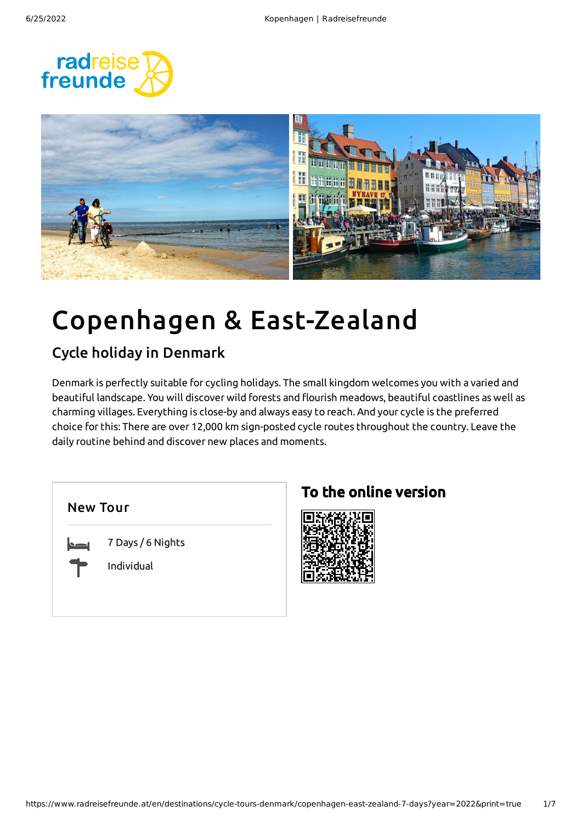



# Copenhagen & East-Zealand

### Cycle holiday in Denmark

Denmark is perfectly suitable for cycling holidays. The small kingdom welcomes you with a varied and beautiful landscape. You will discover wild forests and flourish meadows, beautiful coastlines as well as charming villages. Everything is close-by and always easy to reach. And your cycle is the preferred choice for this: There are over 12,000 km sign-posted cycle routes throughout the country. Leave the daily routine behind and discover new places and moments.

7 Days / 6 Nights

Individual

### To the online version

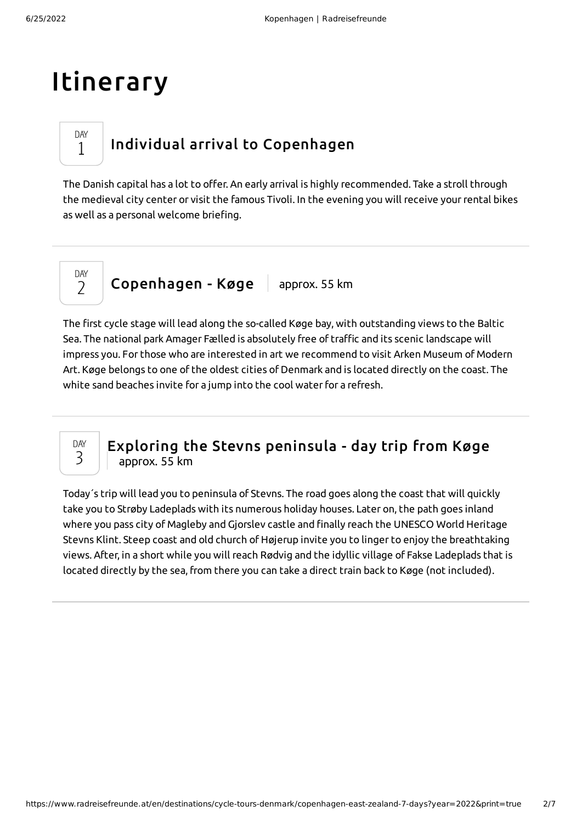## Itinerary

### Individual arrival to [Copenhagen](#page-1-0)

<span id="page-1-0"></span>The Danish capital has a lot to offer. An early arrival is highly recommended. Take a stroll through the medieval city center or visit the famous Tivoli. In the evening you will receive yourrental bikes as well as a personal welcome briefing.

DAY  $\overline{\phantom{a}}$ 

DAY 1

[Copenhagen](#page-1-1) - Køge | approx. 55 km

<span id="page-1-1"></span>The first cycle stage will lead along the so-called Køge bay, with outstanding views to the Baltic Sea. The national park Amager Fælled is absolutely free of traffic and its scenic landscape will impress you. For those who are interested in art we recommend to visit Arken Museum of Modern Art. Køge belongs to one of the oldest cities of Denmark and is located directly on the coast. The white sand beaches invite for a jump into the cool water for a refresh.



#### Exploring the Stevns [peninsula](#page-1-2) - day trip from Køge approx. 55 km

<span id="page-1-2"></span>Today´s trip will lead you to peninsula of Stevns. The road goes along the coast that will quickly take you to Strøby Ladeplads with its numerous holiday houses. Later on, the path goes inland where you pass city of Magleby and Gjorslev castle and finally reach the UNESCO World Heritage Stevns Klint. Steep coast and old church of Højerup invite you to linger to enjoy the breathtaking views. After, in a short while you will reach Rødvig and the idyllic village of Fakse Ladeplads that is located directly by the sea, from there you can take a direct train back to Køge (not included).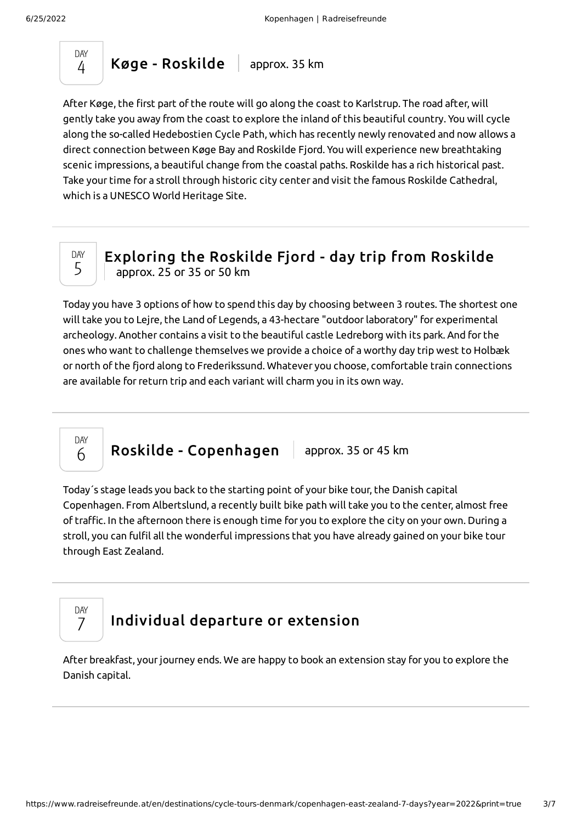

<span id="page-2-0"></span>After Køge, the first part of the route will go along the coast to Karlstrup. The road after, will gently take you away from the coast to explore the inland of this beautiful country. You will cycle along the so-called Hedebostien Cycle Path, which has recently newly renovated and now allows a direct connection between Køge Bay and Roskilde Fjord. You will experience new breathtaking scenic impressions, a beautiful change from the coastal paths. Roskilde has a rich historical past. Take your time for a stroll through historic city center and visit the famous Roskilde Cathedral, which is a UNESCO World Heritage Site.



[Exploring](#page-2-1) the Roskilde Fjord - day trip from Roskilde approx. 25 or 35 or 50 km

<span id="page-2-1"></span>Today you have 3 options of how to spend this day by choosing between 3 routes. The shortest one will take you to Lejre, the Land of Legends, a 43-hectare "outdoor laboratory" for experimental archeology. Another contains a visit to the beautiful castle Ledreborg with its park. And for the ones who want to challenge themselves we provide a choice of a worthy day trip west to Holbæk or north of the fjord along to Frederikssund. Whatever you choose, comfortable train connections are available for return trip and each variant will charm you in its own way.

Roskilde - [Copenhagen](#page-2-2) | approx. 35 or 45 km

<span id="page-2-2"></span>Today´s stage leads you back to the starting point of your bike tour, the Danish capital Copenhagen. From Albertslund, a recently built bike path will take you to the center, almost free of traffic. In the afternoon there is enough time for you to explore the city on your own. During a stroll, you can fulfil all the wonderful impressions that you have already gained on your bike tour through East Zealand.

DAY 7

DAY 6

### [Individual](#page-2-3) departure or extension

<span id="page-2-3"></span>After breakfast, yourjourney ends. We are happy to book an extension stay for you to explore the Danish capital.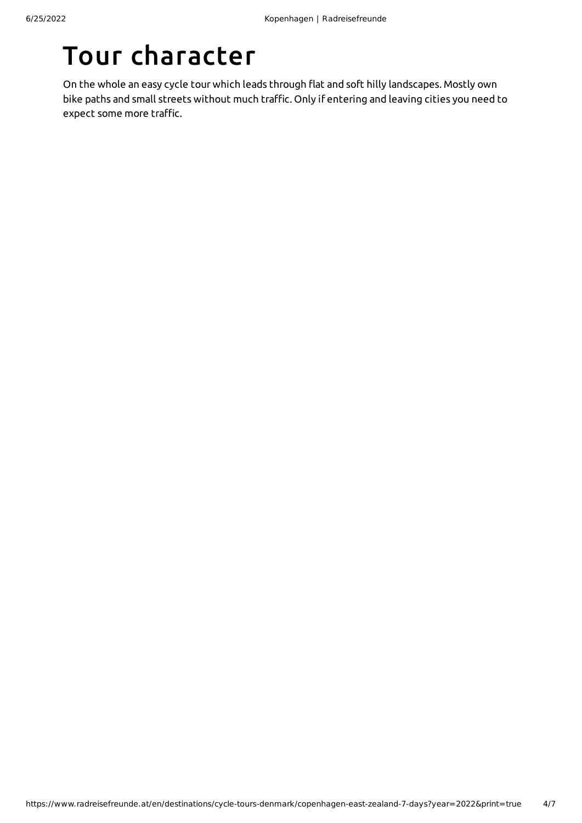# Tour character

On the whole an easy cycle tour which leads through flat and soft hilly landscapes. Mostly own bike paths and small streets without much traffic. Only if entering and leaving cities you need to expect some more traffic.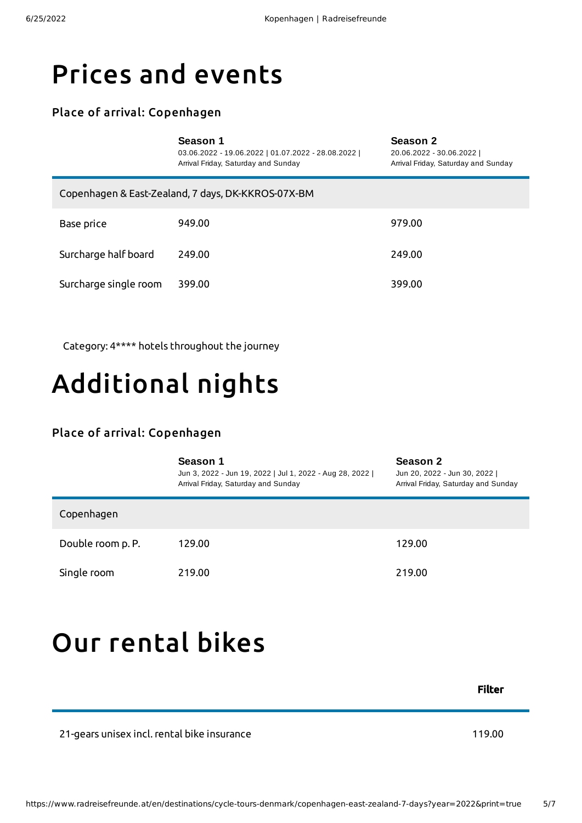### Prices and events

#### Place of arrival: Copenhagen

| Season 1 |  |
|----------|--|
|----------|--|

03.06.2022 - 19.06.2022 | 01.07.2022 - 28.08.2022 | Arrival Friday, Saturday and Sunday

**Season 2** 20.06.2022 - 30.06.2022 | Arrival Friday, Saturday and Sunday

| Copenhagen & East-Zealand, 7 days, DK-KKROS-07X-BM |        |        |  |  |
|----------------------------------------------------|--------|--------|--|--|
| Base price                                         | 949.00 | 979.00 |  |  |
| Surcharge half board                               | 249.00 | 249.00 |  |  |
| Surcharge single room                              | 399.00 | 399.00 |  |  |

Category: 4\*\*\*\* hotels throughout the journey

# Additional nights

#### Place of arrival: Copenhagen

|                   | Season 1<br>Jun 3, 2022 - Jun 19, 2022   Jul 1, 2022 - Aug 28, 2022  <br>Arrival Friday, Saturday and Sunday | Season 2<br>Jun 20, 2022 - Jun 30, 2022  <br>Arrival Friday, Saturday and Sunday |
|-------------------|--------------------------------------------------------------------------------------------------------------|----------------------------------------------------------------------------------|
| Copenhagen        |                                                                                                              |                                                                                  |
| Double room p. P. | 129.00                                                                                                       | 129.00                                                                           |
| Single room       | 219.00                                                                                                       | 219.00                                                                           |

## <span id="page-4-0"></span>Our [rental](#page-4-0) bikes

Filter

21-gears unisex incl. rental bike insurance 119.00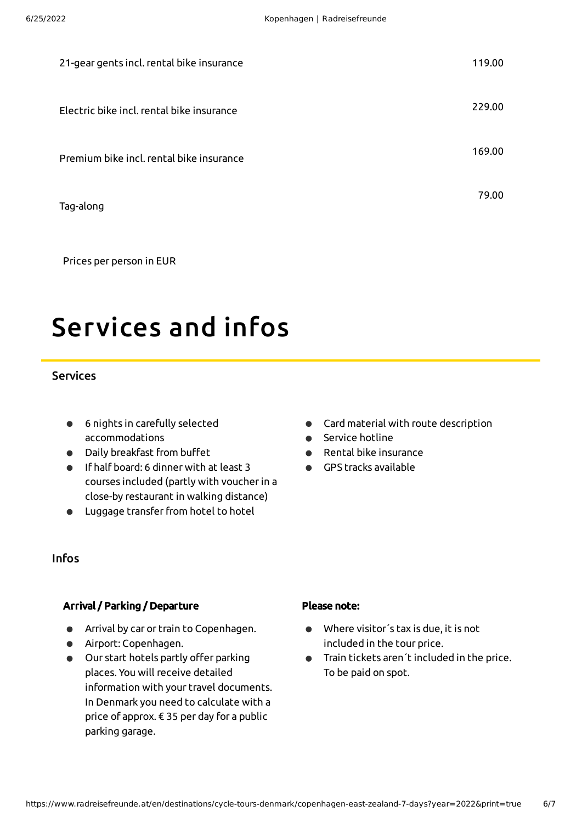| 21-gear gents incl. rental bike insurance | 119.00 |
|-------------------------------------------|--------|
| Electric bike incl. rental bike insurance | 229.00 |
| Premium bike incl. rental bike insurance  | 169.00 |
| Tag-along                                 | 79.00  |

Prices per person in EUR

# Services and infos

#### **Services**

- 6 nights in carefully selected accommodations
- Daily breakfast from buffet
- If half board: 6 dinner with at least 3 courses included (partly with voucherin a close-by restaurant in walking distance)
- Luggage transferfrom hotel to hotel
- Card material with route description
- **Service hotline**
- Rental bike insurance
- GPS tracks available  $\bullet$

#### Infos

#### Arrival / Parking / Departure

- Arrival by car or train to Copenhagen.
- Airport: Copenhagen.
- Our start hotels partly offer parking places. You will receive detailed information with your travel documents. In Denmark you need to calculate with a price of approx. € 35 per day for a public parking garage.

#### Please note:

- Where visitor´s tax is due, it is not included in the tour price.
- Train tickets aren´t included in the price. To be paid on spot.